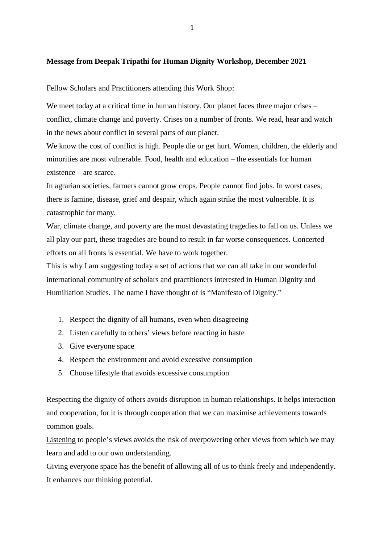## **Message from Deepak Tripathi for Human Dignity Workshop, December 2021**

Fellow Scholars and Practitioners attending this Work Shop:

We meet today at a critical time in human history. Our planet faces three major crises – conflict, climate change and poverty. Crises on a number of fronts. We read, hear and watch in the news about conflict in several parts of our planet.

We know the cost of conflict is high. People die or get hurt. Women, children, the elderly and minorities are most vulnerable. Food, health and education – the essentials for human existence – are scarce.

In agrarian societies, farmers cannot grow crops. People cannot find jobs. In worst cases, there is famine, disease, grief and despair, which again strike the most vulnerable. It is catastrophic for many.

War, climate change, and poverty are the most devastating tragedies to fall on us. Unless we all play our part, these tragedies are bound to result in far worse consequences. Concerted efforts on all fronts is essential. We have to work together.

This is why I am suggesting today a set of actions that we can all take in our wonderful international community of scholars and practitioners interested in Human Dignity and Humiliation Studies. The name I have thought of is "Manifesto of Dignity."

- 1. Respect the dignity of all humans, even when disagreeing
- 2. Listen carefully to others' views before reacting in haste
- 3. Give everyone space
- 4. Respect the environment and avoid excessive consumption
- 5. Choose lifestyle that avoids excessive consumption

Respecting the dignity of others avoids disruption in human relationships. It helps interaction and cooperation, for it is through cooperation that we can maximise achievements towards common goals.

Listening to people's views avoids the risk of overpowering other views from which we may learn and add to our own understanding.

Giving everyone space has the benefit of allowing all of us to think freely and independently. It enhances our thinking potential.

1